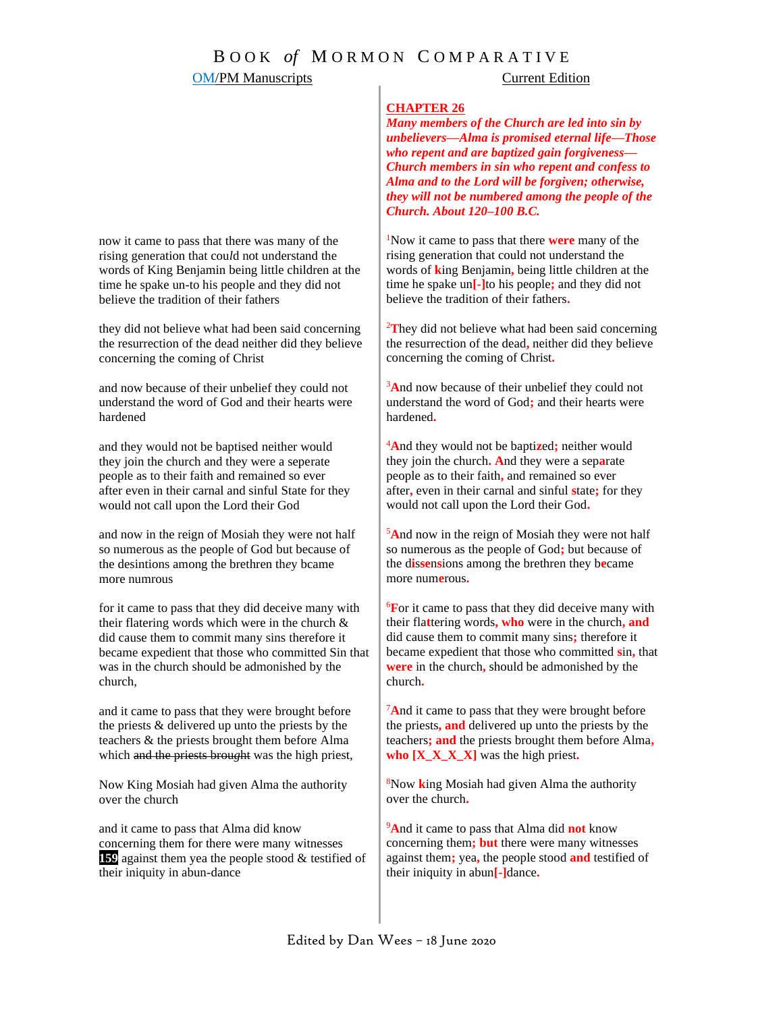## **OM/PM Manuscripts** Current Edition

### **CHAPTER 26**

*Many members of the Church are led into sin by unbelievers—Alma is promised eternal life—Those who repent and are baptized gain forgiveness— Church members in sin who repent and confess to Alma and to the Lord will be forgiven; otherwise, they will not be numbered among the people of the Church. About 120–100 B.C.*

<sup>1</sup>Now it came to pass that there **were** many of the rising generation that could not understand the words of **k**ing Benjamin**,** being little children at the time he spake un**[-]**to his people**;** and they did not believe the tradition of their fathers**.**

<sup>2</sup>**T**hey did not believe what had been said concerning the resurrection of the dead**,** neither did they believe concerning the coming of Christ**.**

<sup>3</sup>And now because of their unbelief they could not understand the word of God**;** and their hearts were hardened**.**

<sup>4</sup>**A**nd they would not be bapti**z**ed**;** neither would they join the church**. A**nd they were a sep**a**rate people as to their faith**,** and remained so ever after**,** even in their carnal and sinful **s**tate**;** for they would not call upon the Lord their God**.**

<sup>5</sup>**A**nd now in the reign of Mosiah they were not half so numerous as the people of God**;** but because of the d**i**s**se**n**s**ions among the brethren they b**e**came more num**e**rous**.**

<sup>6</sup>**F**or it came to pass that they did deceive many with their fla**t**tering words**, who** were in the church**, and**  did cause them to commit many sins**;** therefore it became expedient that those who committed **s**in**,** that **were** in the church**,** should be admonished by the church**.**

<sup>7</sup>**A**nd it came to pass that they were brought before the priests**, and** delivered up unto the priests by the teachers**; and** the priests brought them before Alma**, who**  $[X \times X \times X]$  was the high priest.

<sup>8</sup>Now **k**ing Mosiah had given Alma the authority over the church**.**

<sup>9</sup>**A**nd it came to pass that Alma did **not** know concerning them**; but** there were many witnesses against them**;** yea**,** the people stood **and** testified of their iniquity in abun**[-]**dance**.**

now it came to pass that there was many of the rising generation that cou*l*d not understand the words of King Benjamin being little children at the time he spake un-to his people and they did not believe the tradition of their fathers

they did not believe what had been said concerning the resurrection of the dead neither did they believe concerning the coming of Christ

and now because of their unbelief they could not understand the word of God and their hearts were hardened

and they would not be baptised neither would they join the church and they were a seperate people as to their faith and remained so ever after even in their carnal and sinful State for they would not call upon the Lord their God

and now in the reign of Mosiah they were not half so numerous as the people of God but because of the desintions among the brethren th*e*y bcame more numrous

for it came to pass that they did deceive many with their flatering words which were in the church & did cause them to commit many sins therefore it became expedient that those who committed Sin that was in the church should be admonished by the church,

and it came to pass that they were brought before the priests & delivered up unto the priests by the teachers & the priests brought them before Alma which and the priests brought was the high priest,

Now King Mosiah had given Alma the authority over the church

and it came to pass that Alma did know concerning them for there were many witnesses **159** against them yea the people stood & testified of their iniquity in abun-dance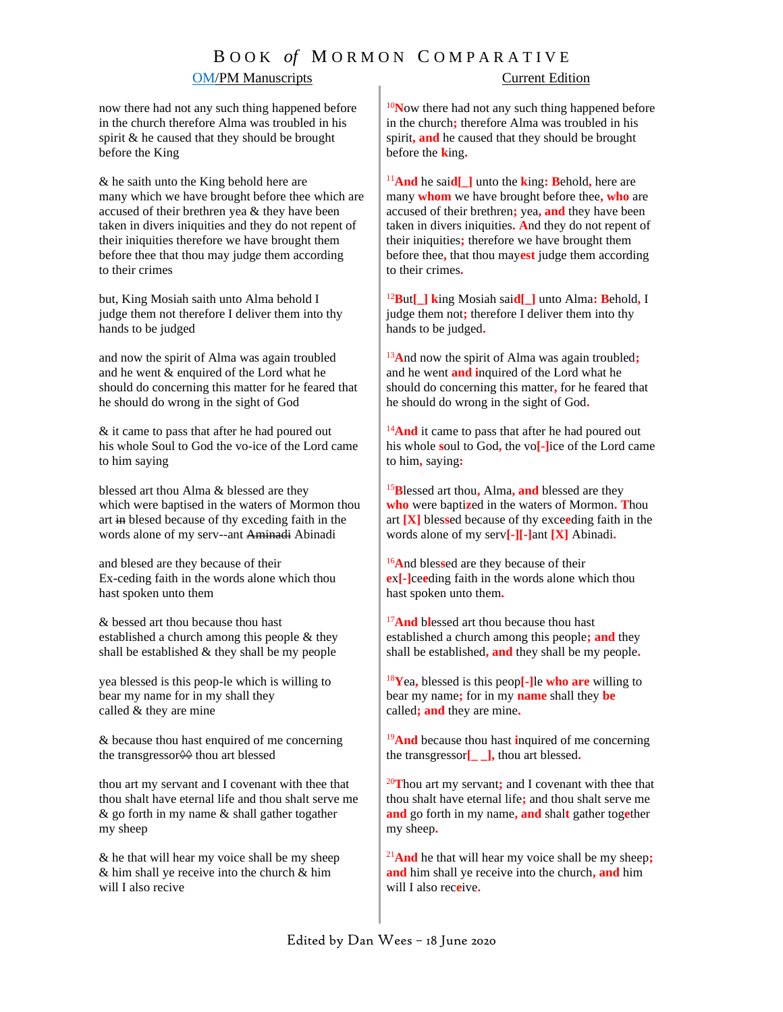# B O O K *of* M O R M O N C O M P A R A T I V E

### OM/PM Manuscripts Current Edition

now there had not any such thing happened before in the church therefore Alma was troubled in his spirit & he caused that they should be brought before the King

& he saith unto the King behold here are many which we have brought before thee which are accused of their brethren yea & they have been taken in divers iniquities and they do not repent of their iniquities therefore we have brought them before thee that thou may judg*e* them according to their crimes

but, King Mosiah saith unto Alma behold I judge them not therefore I deliver them into thy hands to be judged

and now the spirit of Alma was again troubled and he went & enquired of the Lord what he should do concerning this matter for he feared that he should do wrong in the sight of God

& it came to pass that after he had poured out his whole Soul to God the vo-ice of the Lord came to him saying

blessed art thou Alma & blessed are they which were baptised in the waters of Mormon thou art in blesed because of thy exceding faith in the words alone of my serv--ant Aminadi Abinadi

and blesed are they because of their Ex-ceding faith in the words alone which thou hast spoken unto them

& bessed art thou because thou hast established a church among this people & they shall be established & they shall be my people

yea blessed is this peop-le which is willing to bear my name for in my shall they called & they are mine

& because thou hast enquired of me concerning the transgressor<del>◊</del> thou art blessed

thou art my servant and I covenant with thee that thou shalt have eternal life and thou shalt serve me & go forth in my name & shall gather togather my sheep

& he that will hear my voice shall be my sheep & him shall ye receive into the church & him will I also recive

<sup>10</sup>Now there had not any such thing happened before in the church**;** therefore Alma was troubled in his spirit**, and** he caused that they should be brought before the **k**ing**.**

<sup>11</sup>**And** he sai**d[\_]** unto the **k**ing**: B**ehold**,** here are many **whom** we have brought before thee**, who** are accused of their brethren**;** yea**, and** they have been taken in divers iniquities**. A**nd they do not repent of their iniquities**;** therefore we have brought them before thee**,** that thou may**est** judge them according to their crimes**.**

<sup>12</sup>**B**ut**[\_] k**ing Mosiah sai**d[\_]** unto Alma**: B**ehold**,** I judge them not**;** therefore I deliver them into thy hands to be judged**.**

<sup>13</sup>**A**nd now the spirit of Alma was again troubled**;** and he went **and i**nquired of the Lord what he should do concerning this matter**,** for he feared that he should do wrong in the sight of God**.**

<sup>14</sup>And it came to pass that after he had poured out his whole **s**oul to God**,** the vo**[-]**ice of the Lord came to him**,** saying**:**

<sup>15</sup>**B**lessed art thou**,** Alma**, and** blessed are they **who** were bapti**z**ed in the waters of Mormon**. T**hou art **[X]** bles**s**ed because of thy exce**e**ding faith in the words alone of my serv**[-][-]**ant **[X]** Abinadi**.**

<sup>16</sup>**A**nd bles**s**ed are they because of their **e**x**[-]**ce**e**ding faith in the words alone which thou hast spoken unto them**.**

<sup>17</sup>And blessed art thou because thou hast established a church among this people**; and** they shall be established**, and** they shall be my people**.**

<sup>18</sup>**Y**ea**,** blessed is this peop**[-]**le **who are** willing to bear my name**;** for in my **name** shall they **be** called**; and** they are mine**.**

<sup>19</sup>**And** because thou hast **i**nquired of me concerning the transgressor**[\_ \_],** thou art blessed**.**

<sup>20</sup>**T**hou art my servant**;** and I covenant with thee that thou shalt have eternal life**;** and thou shalt serve me **and** go forth in my name**, and** shal**t** gather tog**e**ther my sheep**.**

<sup>21</sup>**And** he that will hear my voice shall be my sheep**; and** him shall ye receive into the church**, and** him will I also rec**e**ive**.**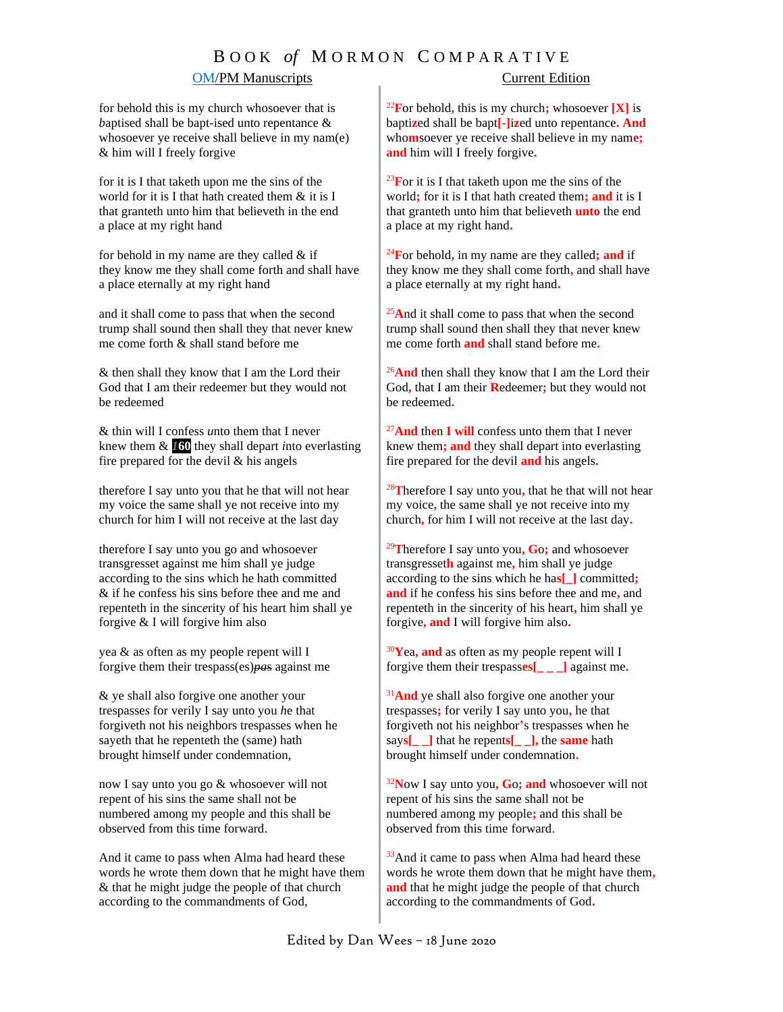## B O O K *of* M O R M O N C O M P A R A T I V E

### **OM/PM Manuscripts** Current Edition

for behold this is my church whosoever that is *b*aptised shall be bapt-ised unto repentance & whosoever ye receive shall believe in my nam(e) & him will I freely forgive

for it is I that taketh upon me the sins of the world for it is I that hath created them & it is I that granteth unto him that believeth in the end a place at my right hand

for behold in my name are they called  $&$  if they know me they shall come forth and shall have a place eternally at my right hand

and it shall come to pass that when the second trump shall sound then shall they that never knew me come forth & shall stand before me

& then shall they know that I am the Lord their God that I am their redeemer but they would not be redeemed

& thin will I confess *u*nto them that I never knew them & *1***60** they shall depart *i*nto everlasting fire prepared for the devil  $\&$  his angels

therefore I say unto you that he that will not hear my voice the same shall ye not receive into my church for him I will not receive at the last day

therefore I say unto you go and whosoever transgresset against me him shall ye judge according to the sins which he hath committed & if he confess his sins before thee and me and repenteth in the sinc*e*rity of his heart him shall ye forgive & I will forgive him also

yea & as often as my people repent will I forgive them their trespass(es)*pa*s against me

& ye shall also forgive one another your trespasse*s* for verily I say unto you *h*e that forgiveth not his neighbors trespasses when he sayeth that he repenteth the (same) hath brought himself under condemnation,

now I say unto you go & whosoever will not repent of his sins the same shall not be numbered among my people and this shall be observed from this time forward.

And it came to pass when Alma had heard these words he wrote them down that he might have them & that he might judge the people of that church according to the commandments of God,

<sup>22</sup>**F**or behold, this is my church; whosoever  $[X]$  is bapti**z**ed shall be bapt**[-]**i**z**ed unto repentance**. And**  who**m**soever ye receive shall believe in my nam**e; and** him will I freely forgive**.**

<sup>23</sup>**F**or it is I that taketh upon me the sins of the world**;** for it is I that hath created them**; and** it is I that granteth unto him that believeth **unto** the end a place at my right hand**.**

<sup>24</sup>**F**or behold**,** in my name are they called**; and** if they know me they shall come forth**,** and shall have a place eternally at my right hand**.**

<sup>25</sup>**A**nd it shall come to pass that when the second trump shall sound then shall they that never knew me come forth **and** shall stand before me**.**

<sup>26</sup>And then shall they know that I am the Lord their God**,** that I am their **R**edeemer**;** but they would not be redeemed**.**

<sup>27</sup>**And** th**e**n **I will** confess unto them that I never knew them**; and** they shall depart into everlasting fire prepared for the devil **and** his angels**.**

<sup>28</sup>**T**herefore I say unto you**,** that he that will not hear my voice**,** the same shall ye not receive into my church**,** for him I will not receive at the last day**.**

<sup>29</sup>**T**herefore I say unto you**, G**o**;** and whosoever transgresset**h** against me**,** him shall ye judge according to the sins which he ha**s[\_]** committed**; and** if he confess his sins before thee and me**,** and repenteth in the sincerity of his heart**,** him shall ye forgive**, and** I will forgive him also**.**

<sup>30</sup>**Y**ea**, and** as often as my people repent will I forgive them their trespass**es[\_ \_ \_]** against me**.**

<sup>31</sup>And ye shall also forgive one another your trespasses**;** for verily I say unto you**,** he that forgiveth not his neighbor**'**s trespasses when he say**s[\_ \_]** that he repent**s[\_ \_],** the **same** hath brought himself under condemnation**.**

<sup>32</sup>**N**ow I say unto you**, G**o**; and** whosoever will not repent of his sins the same shall not be numbered among my people**;** and this shall be observed from this time forward.

 $33$ And it came to pass when Alma had heard these words he wrote them down that he might have them**, and** that he might judge the people of that church according to the commandments of God**.**